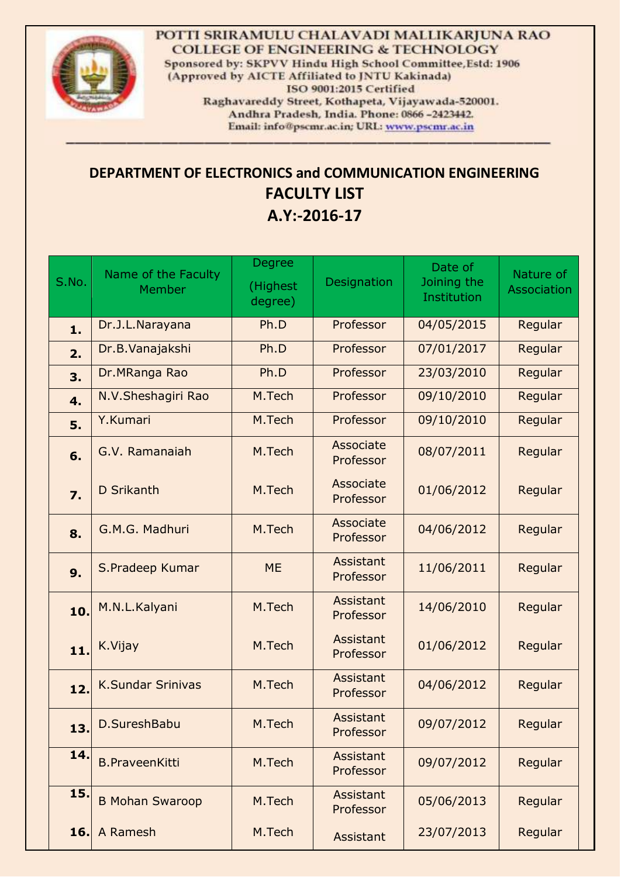

POTTI SRIRAMULU CHALAVADI MALLIKARJUNA RAO **COLLEGE OF ENGINEERING & TECHNOLOGY** Sponsored by: SKPVV Hindu High School Committee, Estd: 1906 (Approved by AICTE Affiliated to JNTU Kakinada) ISO 9001:2015 Certified Raghavareddy Street, Kothapeta, Vijayawada-520001. Andhra Pradesh, India. Phone: 0866 -2423442. Email: info@pscmr.ac.in; URL: www.pscmr.ac.in

## **DEPARTMENT OF ELECTRONICS and COMMUNICATION ENGINEERING FACULTY LIST A.Y:-2016-17**

| S.No.            | Name of the Faculty<br>Member | Degree<br>(Highest<br>degree) | Designation            | Date of<br>Joining the<br>Institution | Nature of<br>Association |
|------------------|-------------------------------|-------------------------------|------------------------|---------------------------------------|--------------------------|
| 1.               | Dr.J.L.Narayana               | Ph.D                          | Professor              | 04/05/2015                            | Regular                  |
| 2.               | Dr.B. Vanajakshi              | Ph.D                          | Professor              | 07/01/2017                            | Regular                  |
| 3.               | Dr.MRanga Rao                 | Ph.D                          | Professor              | 23/03/2010                            | Regular                  |
| 4.               | N.V.Sheshagiri Rao            | M.Tech                        | Professor              | 09/10/2010                            | Regular                  |
| 5.               | Y.Kumari                      | M.Tech                        | Professor              | 09/10/2010                            | Regular                  |
| 6.               | G.V. Ramanaiah                | M.Tech                        | Associate<br>Professor | 08/07/2011                            | Regular                  |
| $\overline{7}$ . | D Srikanth                    | M.Tech                        | Associate<br>Professor | 01/06/2012                            | Regular                  |
| 8.               | G.M.G. Madhuri                | M.Tech                        | Associate<br>Professor | 04/06/2012                            | Regular                  |
| 9.               | S. Pradeep Kumar              | <b>ME</b>                     | Assistant<br>Professor | 11/06/2011                            | Regular                  |
| 10.              | M.N.L.Kalyani                 | M.Tech                        | Assistant<br>Professor | 14/06/2010                            | Regular                  |
| 11.              | K.Vijay                       | M.Tech                        | Assistant<br>Professor | 01/06/2012                            | Regular                  |
| 12.              | <b>K.Sundar Srinivas</b>      | M.Tech                        | Assistant<br>Professor | 04/06/2012                            | Regular                  |
| 13.              | D.SureshBabu                  | M.Tech                        | Assistant<br>Professor | 09/07/2012                            | Regular                  |
| 14.              | <b>B.PraveenKitti</b>         | M.Tech                        | Assistant<br>Professor | 09/07/2012                            | Regular                  |
| 15.              | <b>B Mohan Swaroop</b>        | M.Tech                        | Assistant<br>Professor | 05/06/2013                            | Regular                  |
| 16.              | A Ramesh                      | M.Tech                        | Assistant              | 23/07/2013                            | Regular                  |